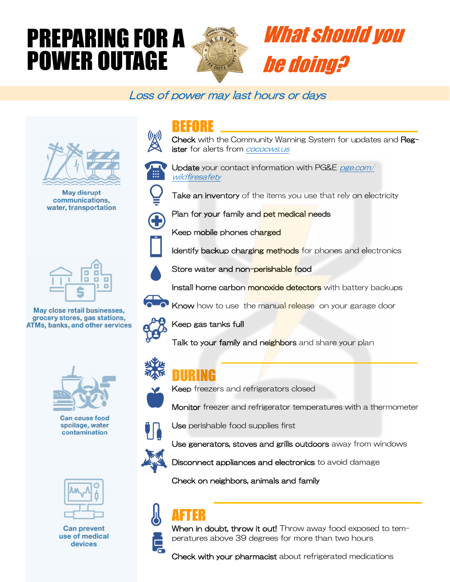# PREPARING FOR A POWER OUTAGE



# What should you be doing?

### Loss of power may last hours or days



**May disrupt** communications, water, transportation



May close retail businesses, grocery stores, gas stations, **ATMs, banks, and other services** 



**Can cause food** spoilage, water contamination



**Can prevent** use of medical devices

### BEFORE

Check with the Community Warning System for updates and Register for alerts from **cococws**.us



Update your contact information with PG&E pge.com/ wildfiresafety

Take an inventory of the items you use that rely on electricity



Plan for your family and pet medical needs

Keep mobile phones charged



Store water and non-perishable food

Install home carbon monoxide detectors with battery backups

Identify backup charging methods for phones and electronics

Know how to use the manual release on your garage door



Keep gas tanks full

Talk to your family and neighbors and share your plan



## DURING

Keep freezers and refrigerators closed

Monitor freezer and refrigerator temperatures with a thermometer



Use perishable food supplies first



Use generators, stoves and grills outdoors away from windows

Disconnect appliances and electronics to avoid damage

Check on neighbors, animals and family

## AFTER



When in doubt, throw it out! Throw away food exposed to temperatures above 39 degrees for more than two hours

Check with your pharmacist about refrigerated medications